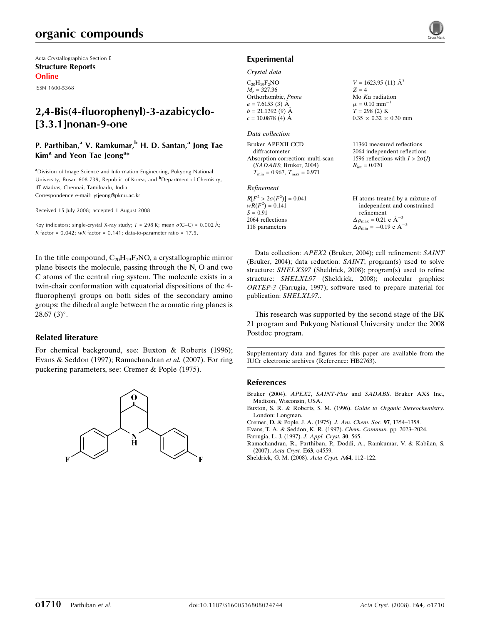# organic compounds

Acta Crystallographica Section E Structure Reports Online

ISSN 1600-5368

## 2,4-Bis(4-fluorophenyl)-3-azabicyclo- [3.3.1]nonan-9-one

## P. Parthiban,<sup>a</sup> V. Ramkumar,<sup>b</sup> H. D. Santan,<sup>a</sup> Jong Tae Kim<sup>a</sup> and Yeon Tae Jeong<sup>a\*</sup>

<sup>a</sup>Division of Image Science and Information Engineering, Pukyong National University, Busan 608 739, Republic of Korea, and <sup>b</sup>Department of Chemistry, IIT Madras, Chennai, Tamilnadu, India Correspondence e-mail: ytjeong@pknu.ac.kr

Received 15 July 2008; accepted 1 August 2008

Key indicators: single-crystal X-ray study;  $T = 298$  K; mean  $\sigma$ (C–C) = 0.002 Å; R factor =  $0.042$ ; wR factor =  $0.141$ ; data-to-parameter ratio = 17.5.

In the title compound,  $C_{20}H_{19}F_2NO$ , a crystallographic mirror plane bisects the molecule, passing through the N, O and two C atoms of the central ring system. The molecule exists in a twin-chair conformation with equatorial dispositions of the 4 fluorophenyl groups on both sides of the secondary amino groups; the dihedral angle between the aromatic ring planes is  $28.67(3)$ °.

## Related literature

For chemical background, see: Buxton & Roberts (1996); Evans & Seddon (1997); Ramachandran et al. (2007). For ring puckering parameters, see: Cremer & Pople (1975).



## Experimental

### Crystal data

 $C_{20}H_{19}F_{2}NO$  $M_r = 327.36$ Orthorhombic, Pnma  $a = 7.6153$  (3) Å  $b = 21.1392(9)$  Å  $c = 10.0878$  (4) Å

#### Data collection

| Bruker APEXII CCD                    | 11          |
|--------------------------------------|-------------|
| diffractometer                       | 20          |
| Absorption correction: multi-scan    | 15          |
| (SADABS; Bruker, 2004)               | $R_{\rm i}$ |
| $T_{\min} = 0.967, T_{\max} = 0.971$ |             |

### Refinement

| $R[F^2 > 2\sigma(F^2)] = 0.041$ |
|---------------------------------|
| $wR(F^2) = 0.141$               |
| $S = 0.91$                      |
| 2064 reflections                |
| 118 parameters                  |

 $V = 1623.95$  (11)  $\AA^3$  $Z = 4$ Mo  $K\alpha$  radiation  $\mu = 0.10 \text{ mm}^{-1}$  $T = 298(2)$  K  $0.35 \times 0.32 \times 0.30$  mm

360 measured reflections 064 independent reflections 1596 reflections with  $I > 2\sigma(I)$  $R_{\rm int} = 0.020$ 

| H atoms treated by a mixture of                 |
|-------------------------------------------------|
| independent and constrained                     |
| refinement                                      |
| $\Delta \rho_{\text{max}} = 0.21$ e $\AA^{-3}$  |
| $\Delta \rho_{\text{min}} = -0.19$ e $\AA^{-3}$ |

Data collection: APEX2 (Bruker, 2004); cell refinement: SAINT (Bruker, 2004); data reduction: SAINT; program(s) used to solve structure: SHELXS97 (Sheldrick, 2008); program(s) used to refine structure: SHELXL97 (Sheldrick, 2008); molecular graphics: ORTEP-3 (Farrugia, 1997); software used to prepare material for publication: SHELXL97..

This research was supported by the second stage of the BK 21 program and Pukyong National University under the 2008 Postdoc program.

Supplementary data and figures for this paper are available from the IUCr electronic archives (Reference: HB2763).

## References

- Bruker (2004). APEX2, SAINT-Plus and SADABS. Bruker AXS Inc., Madison, Wisconsin, USA.
- Buxton, S. R. & Roberts, S. M. (1996). Guide to Organic Stereochemistry. London: Longman.
- Cremer, D. & Pople, J. A. (1975). J. Am. Chem. Soc. 97, 1354–1358.
- Evans, T. A. & Seddon, K. R. (1997). Chem. Commun. pp. 2023–2024.
- Farrugia, L. J. (1997). J. Appl. Cryst. 30, 565.
- Ramachandran, R., Parthiban, P., Doddi, A., Ramkumar, V. & Kabilan, S. (2007). Acta Cryst. E63, o4559.
- Sheldrick, G. M. (2008). Acta Cryst. A64, 112–122.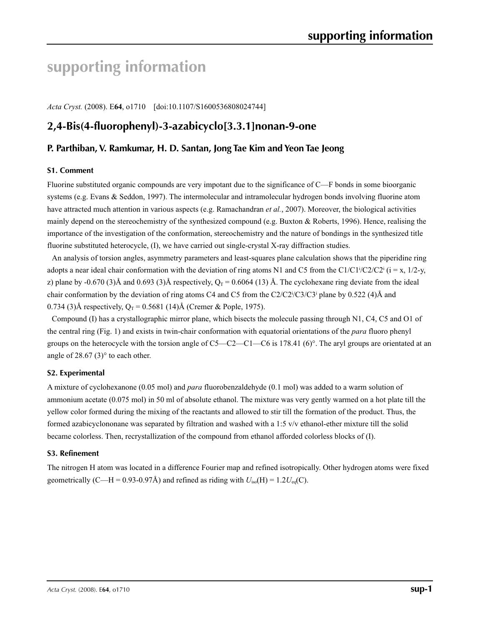# **supporting information**

*Acta Cryst.* (2008). E**64**, o1710 [doi:10.1107/S1600536808024744]

## **2,4-Bis(4-fluorophenyl)-3-azabicyclo[3.3.1]nonan-9-one**

## **P. Parthiban, V. Ramkumar, H. D. Santan, Jong Tae Kim and Yeon Tae Jeong**

## **S1. Comment**

Fluorine substituted organic compounds are very impotant due to the significance of C—F bonds in some bioorganic systems (e.g. Evans & Seddon, 1997). The intermolecular and intramolecular hydrogen bonds involving fluorine atom have attracted much attention in various aspects (e.g. Ramachandran *et al.*, 2007). Moreover, the biological activities mainly depend on the stereochemistry of the synthesized compound (e.g. Buxton & Roberts, 1996). Hence, realising the importance of the investigation of the conformation, stereochemistry and the nature of bondings in the synthesized title fluorine substituted heterocycle, (I), we have carried out single-crystal X-ray diffraction studies.

An analysis of torsion angles, asymmetry parameters and least-squares plane calculation shows that the piperidine ring adopts a near ideal chair conformation with the deviation of ring atoms N1 and C5 from the C1/C1<sup>j</sup>/C2/C2<sup>i</sup> ( $i = x$ , 1/2-y, z) plane by -0.670 (3)Å and 0.693 (3)Å respectively,  $Q_T = 0.6064$  (13) Å. The cyclohexane ring deviate from the ideal chair conformation by the deviation of ring atoms C4 and C5 from the  $C_2/C_2^i/C_3^j/C_3^i$  plane by 0.522 (4)Å and 0.734 (3)Å respectively,  $Q_T = 0.5681$  (14)Å (Cremer & Pople, 1975).

Compound (I) has a crystallographic mirror plane, which bisects the molecule passing through N1, C4, C5 and O1 of the central ring (Fig. 1) and exists in twin-chair conformation with equatorial orientations of the *para* fluoro phenyl groups on the heterocycle with the torsion angle of  $C5-C2-C1-C6$  is 178.41 (6)°. The aryl groups are orientated at an angle of  $28.67(3)$ ° to each other.

## **S2. Experimental**

A mixture of cyclohexanone (0.05 mol) and *para* fluorobenzaldehyde (0.1 mol) was added to a warm solution of ammonium acetate (0.075 mol) in 50 ml of absolute ethanol. The mixture was very gently warmed on a hot plate till the yellow color formed during the mixing of the reactants and allowed to stir till the formation of the product. Thus, the formed azabicyclononane was separated by filtration and washed with a 1:5 v/v ethanol-ether mixture till the solid became colorless. Then, recrystallization of the compound from ethanol afforded colorless blocks of (I).

## **S3. Refinement**

The nitrogen H atom was located in a difference Fourier map and refined isotropically. Other hydrogen atoms were fixed geometrically (C—H = 0.93-0.97Å) and refined as riding with  $U_{iso}(H) = 1.2U_{eq}(C)$ .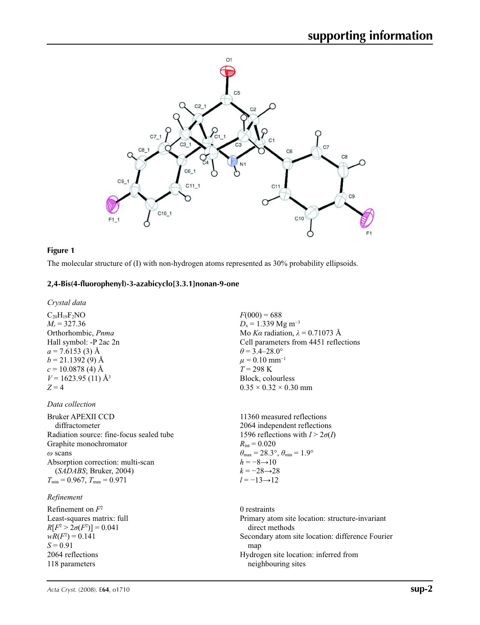

## **Figure 1**

The molecular structure of (I) with non-hydrogen atoms represented as 30% probability ellipsoids.

## **2,4-Bis(4-fluorophenyl)-3-azabicyclo[3.3.1]nonan-9-one**

*Crystal data*

 $C_{20}H_{19}F_2NO$  $M_r = 327.36$ Orthorhombic, *Pnma* Hall symbol: -P 2ac 2n  $a = 7.6153(3)$  Å  $b = 21.1392(9)$  Å  $c = 10.0878$  (4) Å  $V = 1623.95(11)$  Å<sup>3</sup>  $Z = 4$ 

## *Data collection*

Bruker APEXII CCD diffractometer Radiation source: fine-focus sealed tube Graphite monochromator *ω* scans Absorption correction: multi-scan (*SADABS*; Bruker, 2004)  $T_{\text{min}} = 0.967$ ,  $T_{\text{max}} = 0.971$ 

## *Refinement*

Refinement on *F*<sup>2</sup> Least-squares matrix: full  $R[F^2 > 2\sigma(F^2)] = 0.041$  $wR(F^2) = 0.141$ *S* = 0.91 2064 reflections 118 parameters

 $F(000) = 688$  $D_x = 1.339$  Mg m<sup>-3</sup> Mo *Kα* radiation,  $\lambda = 0.71073$  Å Cell parameters from 4451 reflections  $\theta$  = 3.4–28.0°  $\mu = 0.10$  mm<sup>-1</sup>  $T = 298 \text{ K}$ Block, colourless  $0.35 \times 0.32 \times 0.30$  mm

11360 measured reflections 2064 independent reflections 1596 reflections with  $I > 2\sigma(I)$  $R_{\text{int}} = 0.020$  $\theta_{\text{max}} = 28.3^{\circ}, \theta_{\text{min}} = 1.9^{\circ}$  $h = -8 \rightarrow 10$  $k = -28 \rightarrow 28$ *l* = −13→12

0 restraints Primary atom site location: structure-invariant direct methods Secondary atom site location: difference Fourier map Hydrogen site location: inferred from neighbouring sites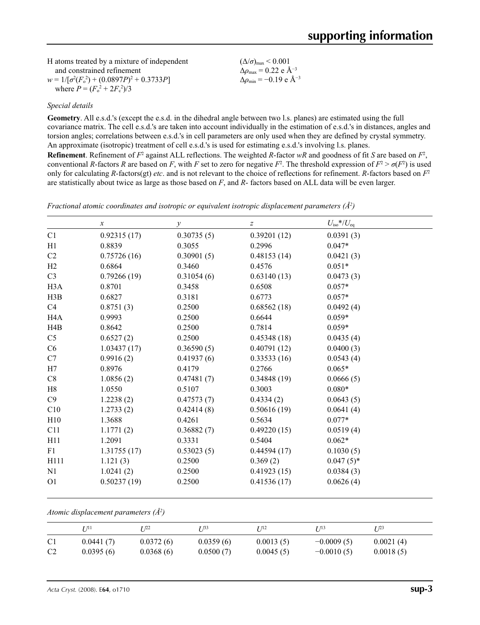| H atoms treated by a mixture of independent       | $(\Delta/\sigma)_{\text{max}}$ < 0.001          |
|---------------------------------------------------|-------------------------------------------------|
| and constrained refinement                        | $\Delta\rho_{\rm max}$ = 0.22 e Å <sup>-3</sup> |
| $w = 1/[\sigma^2(F_0^2) + (0.0897P)^2 + 0.3733P]$ | $\Delta\rho_{\rm min} = -0.19 \text{ e A}^{-3}$ |
| where $P = (F_o^2 + 2F_c^2)/3$                    |                                                 |

## *Special details*

**Geometry**. All e.s.d.'s (except the e.s.d. in the dihedral angle between two l.s. planes) are estimated using the full covariance matrix. The cell e.s.d.'s are taken into account individually in the estimation of e.s.d.'s in distances, angles and torsion angles; correlations between e.s.d.'s in cell parameters are only used when they are defined by crystal symmetry. An approximate (isotropic) treatment of cell e.s.d.'s is used for estimating e.s.d.'s involving l.s. planes.

**Refinement**. Refinement of  $F^2$  against ALL reflections. The weighted *R*-factor  $wR$  and goodness of fit *S* are based on  $F^2$ , conventional *R*-factors *R* are based on *F*, with *F* set to zero for negative  $F^2$ . The threshold expression of  $F^2 > \sigma(F^2)$  is used only for calculating *R*-factors(gt) *etc*. and is not relevant to the choice of reflections for refinement. *R*-factors based on *F*<sup>2</sup> are statistically about twice as large as those based on *F*, and *R*- factors based on ALL data will be even larger.

|                  | $\boldsymbol{x}$ | $\mathcal{Y}$ | $\boldsymbol{Z}$ | $U_{\rm iso}*/U_{\rm eq}$ |  |
|------------------|------------------|---------------|------------------|---------------------------|--|
| C1               | 0.92315(17)      | 0.30735(5)    | 0.39201(12)      | 0.0391(3)                 |  |
| H1               | 0.8839           | 0.3055        | 0.2996           | $0.047*$                  |  |
| C2               | 0.75726(16)      | 0.30901(5)    | 0.48153(14)      | 0.0421(3)                 |  |
| H2               | 0.6864           | 0.3460        | 0.4576           | $0.051*$                  |  |
| C <sub>3</sub>   | 0.79266(19)      | 0.31054(6)    | 0.63140(13)      | 0.0473(3)                 |  |
| H <sub>3</sub> A | 0.8701           | 0.3458        | 0.6508           | $0.057*$                  |  |
| H3B              | 0.6827           | 0.3181        | 0.6773           | $0.057*$                  |  |
| C4               | 0.8751(3)        | 0.2500        | 0.68562(18)      | 0.0492(4)                 |  |
| H4A              | 0.9993           | 0.2500        | 0.6644           | $0.059*$                  |  |
| H4B              | 0.8642           | 0.2500        | 0.7814           | $0.059*$                  |  |
| C <sub>5</sub>   | 0.6527(2)        | 0.2500        | 0.45348(18)      | 0.0435(4)                 |  |
| C6               | 1.03437(17)      | 0.36590(5)    | 0.40791(12)      | 0.0400(3)                 |  |
| C7               | 0.9916(2)        | 0.41937(6)    | 0.33533(16)      | 0.0543(4)                 |  |
| H7               | 0.8976           | 0.4179        | 0.2766           | $0.065*$                  |  |
| C8               | 1.0856(2)        | 0.47481(7)    | 0.34848(19)      | 0.0666(5)                 |  |
| H8               | 1.0550           | 0.5107        | 0.3003           | $0.080*$                  |  |
| C9               | 1.2238(2)        | 0.47573(7)    | 0.4334(2)        | 0.0643(5)                 |  |
| C10              | 1.2733(2)        | 0.42414(8)    | 0.50616(19)      | 0.0641(4)                 |  |
| H10              | 1.3688           | 0.4261        | 0.5634           | $0.077*$                  |  |
| C11              | 1.1771(2)        | 0.36882(7)    | 0.49220(15)      | 0.0519(4)                 |  |
| H11              | 1.2091           | 0.3331        | 0.5404           | $0.062*$                  |  |
| F1               | 1.31755(17)      | 0.53023(5)    | 0.44594(17)      | 0.1030(5)                 |  |
| H111             | 1.121(3)         | 0.2500        | 0.369(2)         | $0.047(5)$ *              |  |
| N1               | 1.0241(2)        | 0.2500        | 0.41923(15)      | 0.0384(3)                 |  |
| O <sub>1</sub>   | 0.50237(19)      | 0.2500        | 0.41536(17)      | 0.0626(4)                 |  |

*Fractional atomic coordinates and isotropic or equivalent isotropic displacement parameters (Å2 )*

*Atomic displacement parameters (Å2 )*

|                | 77 71 1   | r 122     | T 133     | I 112     | $I$ $/13$    | T 123     |
|----------------|-----------|-----------|-----------|-----------|--------------|-----------|
| C <sub>1</sub> | 0.0441(7) | 0.0372(6) | 0.0359(6) | 0.0013(5) | $-0.0009(5)$ | 0.0021(4) |
| C <sub>2</sub> | 0.0395(6) | 0.0368(6) | 0.0500(7) | 0.0045(5) | $-0.0010(5)$ | 0.0018(5) |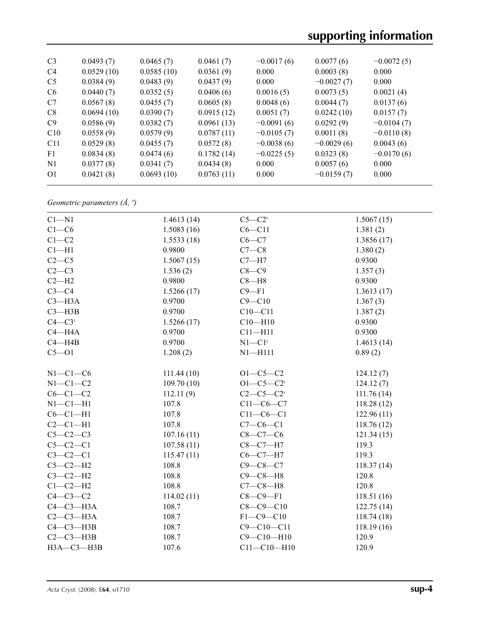# **supporting information**

| C <sub>3</sub>  | 0.0493(7)  | 0.0465(7)  | 0.0461(7)  | $-0.0017(6)$ | 0.0077(6)    | $-0.0072(5)$ |
|-----------------|------------|------------|------------|--------------|--------------|--------------|
| C <sub>4</sub>  | 0.0529(10) | 0.0585(10) | 0.0361(9)  | 0.000        | 0.0003(8)    | 0.000        |
| C <sub>5</sub>  | 0.0384(9)  | 0.0483(9)  | 0.0437(9)  | 0.000        | $-0.0027(7)$ | 0.000        |
| C <sub>6</sub>  | 0.0440(7)  | 0.0352(5)  | 0.0406(6)  | 0.0016(5)    | 0.0073(5)    | 0.0021(4)    |
| C <sub>7</sub>  | 0.0567(8)  | 0.0455(7)  | 0.0605(8)  | 0.0048(6)    | 0.0044(7)    | 0.0137(6)    |
| C8              | 0.0694(10) | 0.0390(7)  | 0.0915(12) | 0.0051(7)    | 0.0242(10)   | 0.0157(7)    |
| C9              | 0.0586(9)  | 0.0382(7)  | 0.0961(13) | $-0.0091(6)$ | 0.0292(9)    | $-0.0104(7)$ |
| C10             | 0.0558(9)  | 0.0579(9)  | 0.0787(11) | $-0.0105(7)$ | 0.0011(8)    | $-0.0110(8)$ |
| C <sub>11</sub> | 0.0529(8)  | 0.0455(7)  | 0.0572(8)  | $-0.0038(6)$ | $-0.0029(6)$ | 0.0043(6)    |
| F1              | 0.0834(8)  | 0.0474(6)  | 0.1782(14) | $-0.0225(5)$ | 0.0323(8)    | $-0.0170(6)$ |
| N <sub>1</sub>  | 0.0377(8)  | 0.0341(7)  | 0.0434(8)  | 0.000        | 0.0057(6)    | 0.000        |
| 01              | 0.0421(8)  | 0.0693(10) | 0.0763(11) | 0.000        | $-0.0159(7)$ | 0.000        |
|                 |            |            |            |              |              |              |

*Geometric parameters (Å, º)*

| $C1 - N1$              | 1.4613(14) | $C5-C2$              | 1.5067(15) |
|------------------------|------------|----------------------|------------|
| $C1-C6$                | 1.5083(16) | $C6 - C11$           | 1.381(2)   |
| $C1-C2$                | 1.5533(18) | $C6-C7$              | 1.3856(17) |
| $Cl-H1$                | 0.9800     | $C7-C8$              | 1.380(2)   |
| $C2-C5$                | 1.5067(15) | $C7 - H7$            | 0.9300     |
| $C2-C3$                | 1.536(2)   | $C8-C9$              | 1.357(3)   |
| $C2-H2$                | 0.9800     | $C8 - H8$            | 0.9300     |
| $C3-C4$                | 1.5266(17) | $C9-F1$              | 1.3613(17) |
| $C3 - H3A$             | 0.9700     | $C9 - C10$           | 1.367(3)   |
| $C3 - H3B$             | 0.9700     | $C10 - C11$          | 1.387(2)   |
| $C4 - C3$ <sup>i</sup> | 1.5266(17) | $C10 - H10$          | 0.9300     |
| $C4 - H4A$             | 0.9700     | $C11 - H11$          | 0.9300     |
| $C4 - H4B$             | 0.9700     | $N1-C1$ <sup>i</sup> | 1.4613(14) |
| $C5 - O1$              | 1.208(2)   | $N1 - H111$          | 0.89(2)    |
| $N1-C1-C6$             | 111.44(10) | $O1 - C5 - C2$       | 124.12(7)  |
| $N1-C1-C2$             | 109.70(10) | $O1 - C5 - C2$       | 124.12(7)  |
| $C6-C1-C2$             | 112.11(9)  | $C2-C5-C2$ i         | 111.76(14) |
| $N1-C1-H1$             | 107.8      | $C11-C6-C7$          | 118.28(12) |
| $C6-C1-H1$             | 107.8      | $C11-C6-C1$          | 122.96(11) |
| $C2-C1-H1$             | 107.8      | $C7-C6-C1$           | 118.76(12) |
| $C5-C2-C3$             | 107.16(11) | $C8-C7-C6$           | 121.34(15) |
| $C5-C2-C1$             | 107.58(11) | $C8 - C7 - H7$       | 119.3      |
| $C3-C2-C1$             | 115.47(11) | $C6-C7-H7$           | 119.3      |
| $C5-C2-H2$             | 108.8      | $C9 - C8 - C7$       | 118.37(14) |
| $C3-C2-H2$             | 108.8      | $C9 - C8 - H8$       | 120.8      |
| $C1-C2-H2$             | 108.8      | $C7-C8-H8$           | 120.8      |
| $C4-C3-C2$             | 114.02(11) | $C8-C9-F1$           | 118.51(16) |
| $C4-C3-H3A$            | 108.7      | $C8 - C9 - C10$      | 122.75(14) |
| $C2-C3-H3A$            | 108.7      | $F1-C9-C10$          | 118.74(18) |
| $C4 - C3 - H3B$        | 108.7      | $C9 - C10 - C11$     | 118.19(16) |
| $C2-C3-H3B$            | 108.7      | $C9 - C10 - H10$     | 120.9      |
| НЗА-СЗ-НЗВ             | 107.6      | $C11 - C10 - H10$    | 120.9      |